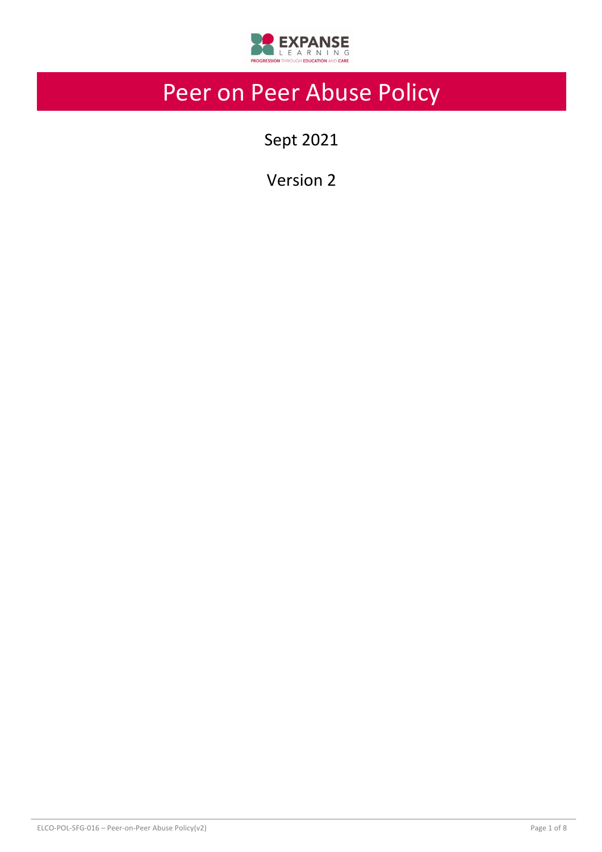

# Peer on Peer Abuse Policy

Sept 2021

Version 2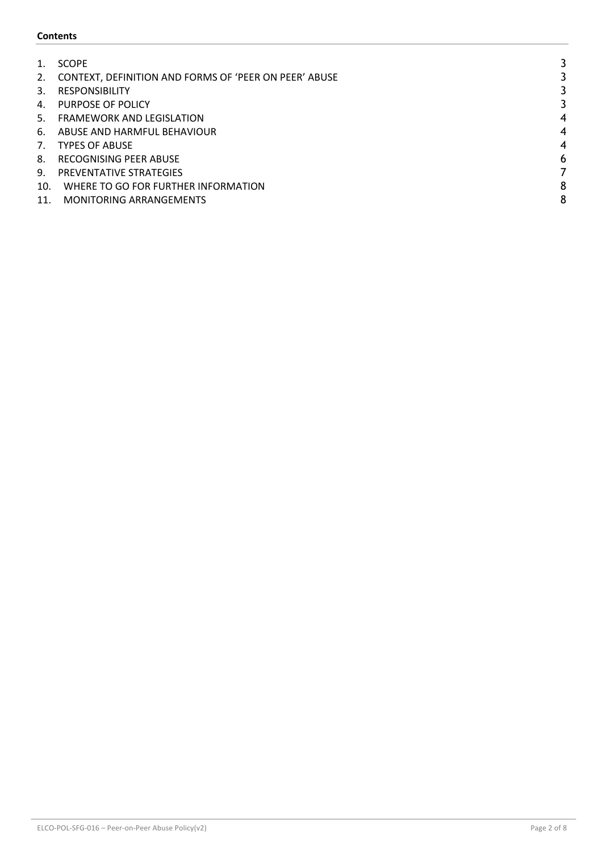## **Contents**

|     | <b>SCOPE</b>                                          |                          |
|-----|-------------------------------------------------------|--------------------------|
| 2.  | CONTEXT, DEFINITION AND FORMS OF 'PEER ON PEER' ABUSE |                          |
| 3.  | <b>RESPONSIBILITY</b>                                 |                          |
| 4.  | PURPOSE OF POLICY                                     |                          |
| .5. | <b>FRAMEWORK AND LEGISLATION</b>                      | 4                        |
| 6.  | ABUSE AND HARMFUL BEHAVIOUR                           | $\overline{\mathcal{A}}$ |
| 7.  | <b>TYPES OF ABUSE</b>                                 | 4                        |
| 8.  | RECOGNISING PEER ABUSE                                | 6                        |
| 9.  | PREVENTATIVE STRATEGIES                               |                          |
| 10. | WHERE TO GO FOR FURTHER INFORMATION                   | 8                        |
| 11. | <b>MONITORING ARRANGEMENTS</b>                        | 8                        |
|     |                                                       |                          |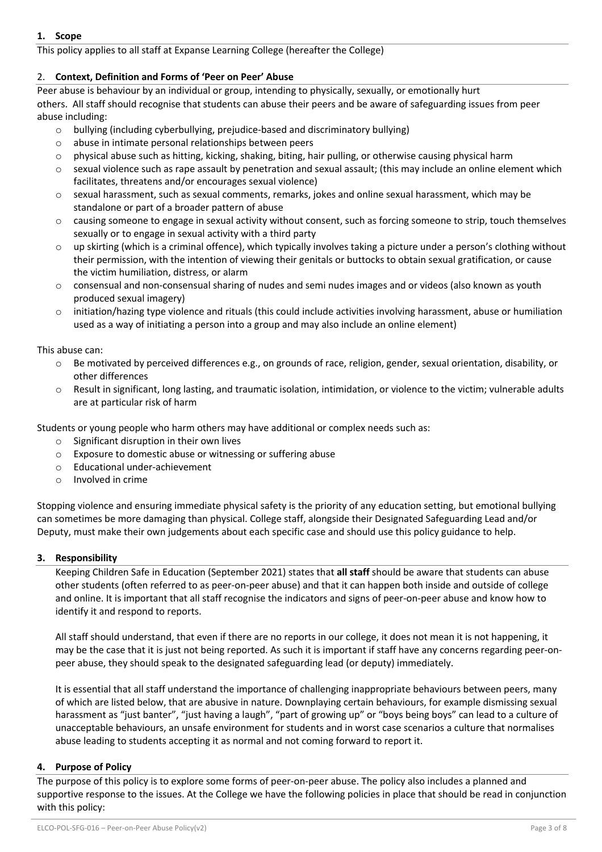# **1. Scope**

This policy applies to all staff at Expanse Learning College (hereafter the College)

# 2. **Context, Definition and Forms of 'Peer on Peer' Abuse**

Peer abuse is behaviour by an individual or group, intending to physically, sexually, or emotionally hurt others. All staff should recognise that students can abuse their peers and be aware of safeguarding issues from peer abuse including:

- $\circ$  bullying (including cyberbullying, prejudice-based and discriminatory bullying)
- o abuse in intimate personal relationships between peers
- $\circ$  physical abuse such as hitting, kicking, shaking, biting, hair pulling, or otherwise causing physical harm
- $\circ$  sexual violence such as rape assault by penetration and sexual assault; (this may include an online element which facilitates, threatens and/or encourages sexual violence)
- $\circ$  sexual harassment, such as sexual comments, remarks, jokes and online sexual harassment, which may be standalone or part of a broader pattern of abuse
- $\circ$  causing someone to engage in sexual activity without consent, such as forcing someone to strip, touch themselves sexually or to engage in sexual activity with a third party
- $\circ$  up skirting (which is a criminal offence), which typically involves taking a picture under a person's clothing without their permission, with the intention of viewing their genitals or buttocks to obtain sexual gratification, or cause the victim humiliation, distress, or alarm
- $\circ$  consensual and non-consensual sharing of nudes and semi nudes images and or videos (also known as youth produced sexual imagery)
- $\circ$  initiation/hazing type violence and rituals (this could include activities involving harassment, abuse or humiliation used as a way of initiating a person into a group and may also include an online element)

This abuse can:

- $\circ$  Be motivated by perceived differences e.g., on grounds of race, religion, gender, sexual orientation, disability, or other differences
- o Result in significant, long lasting, and traumatic isolation, intimidation, or violence to the victim; vulnerable adults are at particular risk of harm

Students or young people who harm others may have additional or complex needs such as:

- o Significant disruption in their own lives
- o Exposure to domestic abuse or witnessing or suffering abuse
- o Educational under-achievement
- o Involved in crime

Stopping violence and ensuring immediate physical safety is the priority of any education setting, but emotional bullying can sometimes be more damaging than physical. College staff, alongside their Designated Safeguarding Lead and/or Deputy, must make their own judgements about each specific case and should use this policy guidance to help.

## **3. Responsibility**

Keeping Children Safe in Education (September 2021) states that **all staff** should be aware that students can abuse other students (often referred to as peer-on-peer abuse) and that it can happen both inside and outside of college and online. It is important that all staff recognise the indicators and signs of peer-on-peer abuse and know how to identify it and respond to reports.

All staff should understand, that even if there are no reports in our college, it does not mean it is not happening, it may be the case that it is just not being reported. As such it is important if staff have any concerns regarding peer-onpeer abuse, they should speak to the designated safeguarding lead (or deputy) immediately.

It is essential that all staff understand the importance of challenging inappropriate behaviours between peers, many of which are listed below, that are abusive in nature. Downplaying certain behaviours, for example dismissing sexual harassment as "just banter", "just having a laugh", "part of growing up" or "boys being boys" can lead to a culture of unacceptable behaviours, an unsafe environment for students and in worst case scenarios a culture that normalises abuse leading to students accepting it as normal and not coming forward to report it.

## **4. Purpose of Policy**

The purpose of this policy is to explore some forms of peer-on-peer abuse. The policy also includes a planned and supportive response to the issues. At the College we have the following policies in place that should be read in conjunction with this policy: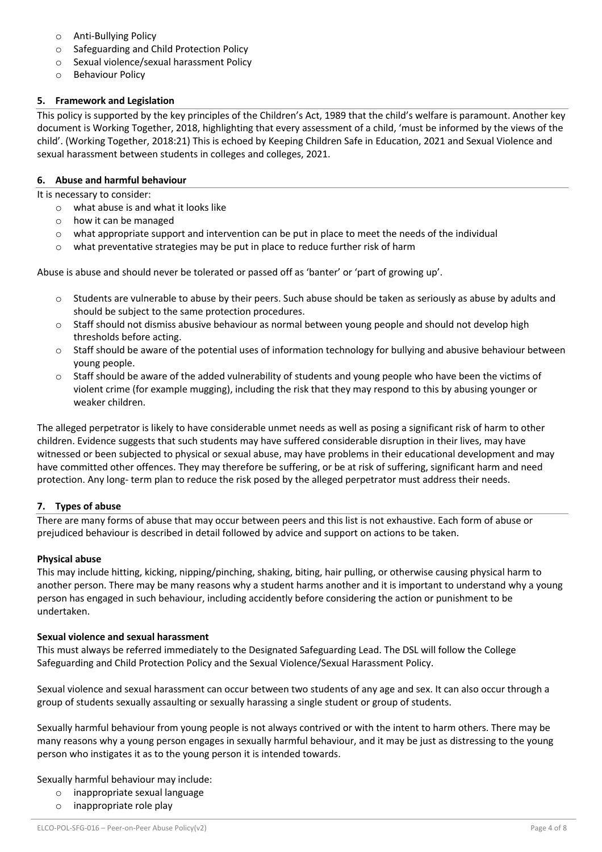- o Anti-Bullying Policy
- o Safeguarding and Child Protection Policy
- o Sexual violence/sexual harassment Policy
- o Behaviour Policy

## **5. Framework and Legislation**

This policy is supported by the key principles of the Children's Act, 1989 that the child's welfare is paramount. Another key document is Working Together, 2018, highlighting that every assessment of a child, 'must be informed by the views of the child'. (Working Together, 2018:21) This is echoed by Keeping Children Safe in Education, 2021 and Sexual Violence and sexual harassment between students in colleges and colleges, 2021.

## **6. Abuse and harmful behaviour**

It is necessary to consider:

- o what abuse is and what it looks like
- o how it can be managed
- $\circ$  what appropriate support and intervention can be put in place to meet the needs of the individual
- $\circ$  what preventative strategies may be put in place to reduce further risk of harm

Abuse is abuse and should never be tolerated or passed off as 'banter' or 'part of growing up'.

- $\circ$  Students are vulnerable to abuse by their peers. Such abuse should be taken as seriously as abuse by adults and should be subject to the same protection procedures.
- o Staff should not dismiss abusive behaviour as normal between young people and should not develop high thresholds before acting.
- $\circ$  Staff should be aware of the potential uses of information technology for bullying and abusive behaviour between young people.
- $\circ$  Staff should be aware of the added vulnerability of students and young people who have been the victims of violent crime (for example mugging), including the risk that they may respond to this by abusing younger or weaker children.

The alleged perpetrator is likely to have considerable unmet needs as well as posing a significant risk of harm to other children. Evidence suggests that such students may have suffered considerable disruption in their lives, may have witnessed or been subjected to physical or sexual abuse, may have problems in their educational development and may have committed other offences. They may therefore be suffering, or be at risk of suffering, significant harm and need protection. Any long- term plan to reduce the risk posed by the alleged perpetrator must address their needs.

## **7. Types of abuse**

There are many forms of abuse that may occur between peers and this list is not exhaustive. Each form of abuse or prejudiced behaviour is described in detail followed by advice and support on actions to be taken.

#### **Physical abuse**

This may include hitting, kicking, nipping/pinching, shaking, biting, hair pulling, or otherwise causing physical harm to another person. There may be many reasons why a student harms another and it is important to understand why a young person has engaged in such behaviour, including accidently before considering the action or punishment to be undertaken.

#### **Sexual violence and sexual harassment**

This must always be referred immediately to the Designated Safeguarding Lead. The DSL will follow the College Safeguarding and Child Protection Policy and the Sexual Violence/Sexual Harassment Policy.

Sexual violence and sexual harassment can occur between two students of any age and sex. It can also occur through a group of students sexually assaulting or sexually harassing a single student or group of students.

Sexually harmful behaviour from young people is not always contrived or with the intent to harm others. There may be many reasons why a young person engages in sexually harmful behaviour, and it may be just as distressing to the young person who instigates it as to the young person it is intended towards.

Sexually harmful behaviour may include:

- o inappropriate sexual language
- o inappropriate role play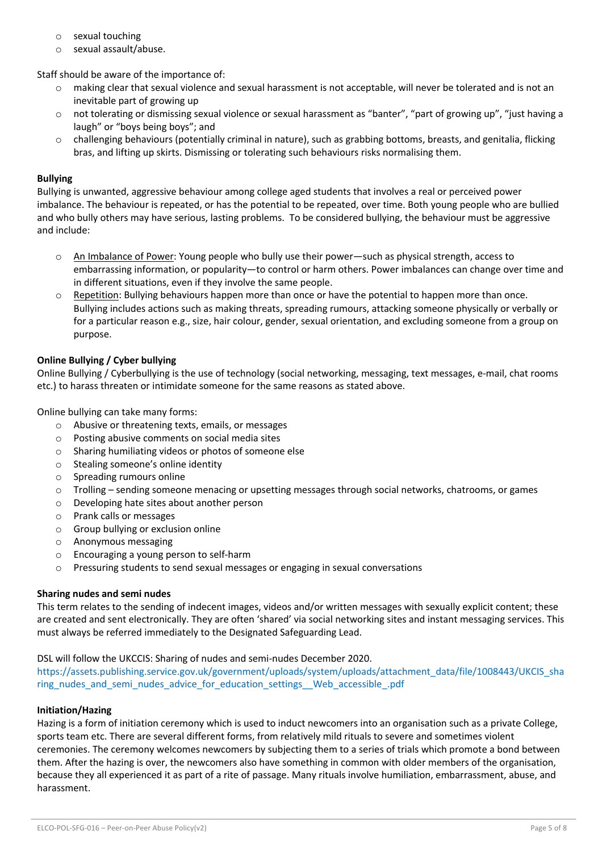- o sexual touching
- o sexual assault/abuse.

Staff should be aware of the importance of:

- o making clear that sexual violence and sexual harassment is not acceptable, will never be tolerated and is not an inevitable part of growing up
- $\circ$  not tolerating or dismissing sexual violence or sexual harassment as "banter", "part of growing up", "just having a laugh" or "boys being boys"; and
- o challenging behaviours (potentially criminal in nature), such as grabbing bottoms, breasts, and genitalia, flicking bras, and lifting up skirts. Dismissing or tolerating such behaviours risks normalising them.

## **Bullying**

Bullying is unwanted, aggressive behaviour among college aged students that involves a real or perceived power imbalance. The behaviour is repeated, or has the potential to be repeated, over time. Both young people who are bullied and who bully others may have serious, lasting problems. To be considered bullying, the behaviour must be aggressive and include:

- $\circ$  An Imbalance of Power: Young people who bully use their power—such as physical strength, access to embarrassing information, or popularity—to control or harm others. Power imbalances can change over time and in different situations, even if they involve the same people.
- $\circ$  Repetition: Bullying behaviours happen more than once or have the potential to happen more than once. Bullying includes actions such as making threats, spreading rumours, attacking someone physically or verbally or for a particular reason e.g., size, hair colour, gender, sexual orientation, and excluding someone from a group on purpose.

## **Online Bullying / Cyber bullying**

Online Bullying / Cyberbullying is the use of technology (social networking, messaging, text messages, e-mail, chat rooms etc.) to harass threaten or intimidate someone for the same reasons as stated above.

Online bullying can take many forms:

- o Abusive or threatening texts, emails, or messages
- o Posting abusive comments on social media sites
- o Sharing humiliating videos or photos of someone else
- o Stealing someone's online identity
- o Spreading rumours online
- $\circ$  Trolling sending someone menacing or upsetting messages through social networks, chatrooms, or games
- o Developing hate sites about another person
- o Prank calls or messages
- o Group bullying or exclusion online
- o Anonymous messaging
- o Encouraging a young person to self-harm
- o Pressuring students to send sexual messages or engaging in sexual conversations

## **Sharing nudes and semi nudes**

This term relates to the sending of indecent images, videos and/or written messages with sexually explicit content; these are created and sent electronically. They are often 'shared' via social networking sites and instant messaging services. This must always be referred immediately to the Designated Safeguarding Lead.

#### DSL will follow the UKCCIS: Sharing of nudes and semi-nudes December 2020.

https://assets.publishing.service.gov.uk/government/uploads/system/uploads/attachment\_data/file/1008443/UKCIS\_sha ring\_nudes\_and\_semi\_nudes\_advice\_for\_education\_settings\_\_Web\_accessible\_.pdf

#### **Initiation/Hazing**

Hazing is a form of initiation ceremony which is used to induct newcomers into an organisation such as a private College, sports team etc. There are several different forms, from relatively mild rituals to severe and sometimes violent ceremonies. The ceremony welcomes newcomers by subjecting them to a series of trials which promote a bond between them. After the hazing is over, the newcomers also have something in common with older members of the organisation, because they all experienced it as part of a rite of passage. Many rituals involve humiliation, embarrassment, abuse, and harassment.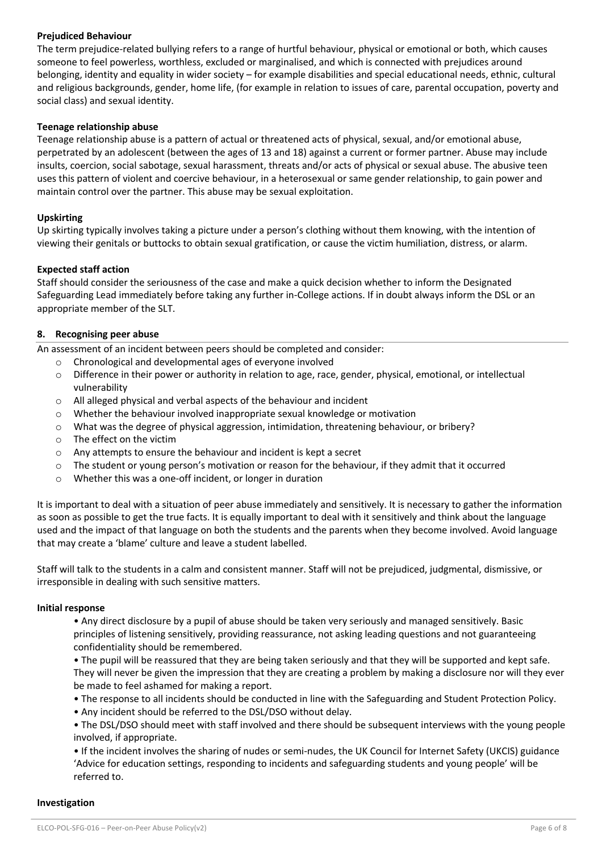## **Prejudiced Behaviour**

The term prejudice-related bullying refers to a range of hurtful behaviour, physical or emotional or both, which causes someone to feel powerless, worthless, excluded or marginalised, and which is connected with prejudices around belonging, identity and equality in wider society – for example disabilities and special educational needs, ethnic, cultural and religious backgrounds, gender, home life, (for example in relation to issues of care, parental occupation, poverty and social class) and sexual identity.

## **Teenage relationship abuse**

Teenage relationship abuse is a pattern of actual or threatened acts of physical, sexual, and/or emotional abuse, perpetrated by an adolescent (between the ages of 13 and 18) against a current or former partner. Abuse may include insults, coercion, social sabotage, sexual harassment, threats and/or acts of physical or sexual abuse. The abusive teen uses this pattern of violent and coercive behaviour, in a heterosexual or same gender relationship, to gain power and maintain control over the partner. This abuse may be sexual exploitation.

## **Upskirting**

Up skirting typically involves taking a picture under a person's clothing without them knowing, with the intention of viewing their genitals or buttocks to obtain sexual gratification, or cause the victim humiliation, distress, or alarm.

## **Expected staff action**

Staff should consider the seriousness of the case and make a quick decision whether to inform the Designated Safeguarding Lead immediately before taking any further in-College actions. If in doubt always inform the DSL or an appropriate member of the SLT.

# **8. Recognising peer abuse**

An assessment of an incident between peers should be completed and consider:

- o Chronological and developmental ages of everyone involved
- $\circ$  Difference in their power or authority in relation to age, race, gender, physical, emotional, or intellectual vulnerability
- o All alleged physical and verbal aspects of the behaviour and incident
- o Whether the behaviour involved inappropriate sexual knowledge or motivation
- o What was the degree of physical aggression, intimidation, threatening behaviour, or bribery?
- o The effect on the victim
- o Any attempts to ensure the behaviour and incident is kept a secret
- $\circ$  The student or young person's motivation or reason for the behaviour, if they admit that it occurred
- o Whether this was a one-off incident, or longer in duration

It is important to deal with a situation of peer abuse immediately and sensitively. It is necessary to gather the information as soon as possible to get the true facts. It is equally important to deal with it sensitively and think about the language used and the impact of that language on both the students and the parents when they become involved. Avoid language that may create a 'blame' culture and leave a student labelled.

Staff will talk to the students in a calm and consistent manner. Staff will not be prejudiced, judgmental, dismissive, or irresponsible in dealing with such sensitive matters.

## **Initial response**

• Any direct disclosure by a pupil of abuse should be taken very seriously and managed sensitively. Basic principles of listening sensitively, providing reassurance, not asking leading questions and not guaranteeing confidentiality should be remembered.

• The pupil will be reassured that they are being taken seriously and that they will be supported and kept safe. They will never be given the impression that they are creating a problem by making a disclosure nor will they ever be made to feel ashamed for making a report.

- The response to all incidents should be conducted in line with the Safeguarding and Student Protection Policy.
- Any incident should be referred to the DSL/DSO without delay.

• The DSL/DSO should meet with staff involved and there should be subsequent interviews with the young people involved, if appropriate.

• If the incident involves the sharing of nudes or semi-nudes, the UK Council for Internet Safety (UKCIS) guidance 'Advice for education settings, responding to incidents and safeguarding students and young people' will be referred to.

#### **Investigation**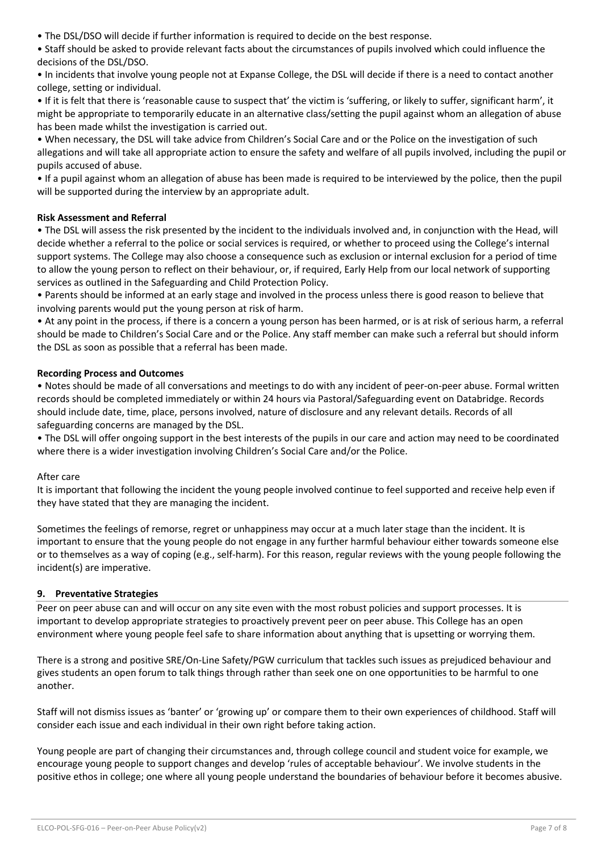• The DSL/DSO will decide if further information is required to decide on the best response.

• Staff should be asked to provide relevant facts about the circumstances of pupils involved which could influence the decisions of the DSL/DSO.

• In incidents that involve young people not at Expanse College, the DSL will decide if there is a need to contact another college, setting or individual.

• If it is felt that there is 'reasonable cause to suspect that' the victim is 'suffering, or likely to suffer, significant harm', it might be appropriate to temporarily educate in an alternative class/setting the pupil against whom an allegation of abuse has been made whilst the investigation is carried out.

• When necessary, the DSL will take advice from Children's Social Care and or the Police on the investigation of such allegations and will take all appropriate action to ensure the safety and welfare of all pupils involved, including the pupil or pupils accused of abuse.

• If a pupil against whom an allegation of abuse has been made is required to be interviewed by the police, then the pupil will be supported during the interview by an appropriate adult.

# **Risk Assessment and Referral**

• The DSL will assess the risk presented by the incident to the individuals involved and, in conjunction with the Head, will decide whether a referral to the police or social services is required, or whether to proceed using the College's internal support systems. The College may also choose a consequence such as exclusion or internal exclusion for a period of time to allow the young person to reflect on their behaviour, or, if required, Early Help from our local network of supporting services as outlined in the Safeguarding and Child Protection Policy.

• Parents should be informed at an early stage and involved in the process unless there is good reason to believe that involving parents would put the young person at risk of harm.

• At any point in the process, if there is a concern a young person has been harmed, or is at risk of serious harm, a referral should be made to Children's Social Care and or the Police. Any staff member can make such a referral but should inform the DSL as soon as possible that a referral has been made.

# **Recording Process and Outcomes**

• Notes should be made of all conversations and meetings to do with any incident of peer-on-peer abuse. Formal written records should be completed immediately or within 24 hours via Pastoral/Safeguarding event on Databridge. Records should include date, time, place, persons involved, nature of disclosure and any relevant details. Records of all safeguarding concerns are managed by the DSL.

• The DSL will offer ongoing support in the best interests of the pupils in our care and action may need to be coordinated where there is a wider investigation involving Children's Social Care and/or the Police.

## After care

It is important that following the incident the young people involved continue to feel supported and receive help even if they have stated that they are managing the incident.

Sometimes the feelings of remorse, regret or unhappiness may occur at a much later stage than the incident. It is important to ensure that the young people do not engage in any further harmful behaviour either towards someone else or to themselves as a way of coping (e.g., self-harm). For this reason, regular reviews with the young people following the incident(s) are imperative.

## **9. Preventative Strategies**

Peer on peer abuse can and will occur on any site even with the most robust policies and support processes. It is important to develop appropriate strategies to proactively prevent peer on peer abuse. This College has an open environment where young people feel safe to share information about anything that is upsetting or worrying them.

There is a strong and positive SRE/On-Line Safety/PGW curriculum that tackles such issues as prejudiced behaviour and gives students an open forum to talk things through rather than seek one on one opportunities to be harmful to one another.

Staff will not dismiss issues as 'banter' or 'growing up' or compare them to their own experiences of childhood. Staff will consider each issue and each individual in their own right before taking action.

Young people are part of changing their circumstances and, through college council and student voice for example, we encourage young people to support changes and develop 'rules of acceptable behaviour'. We involve students in the positive ethos in college; one where all young people understand the boundaries of behaviour before it becomes abusive.